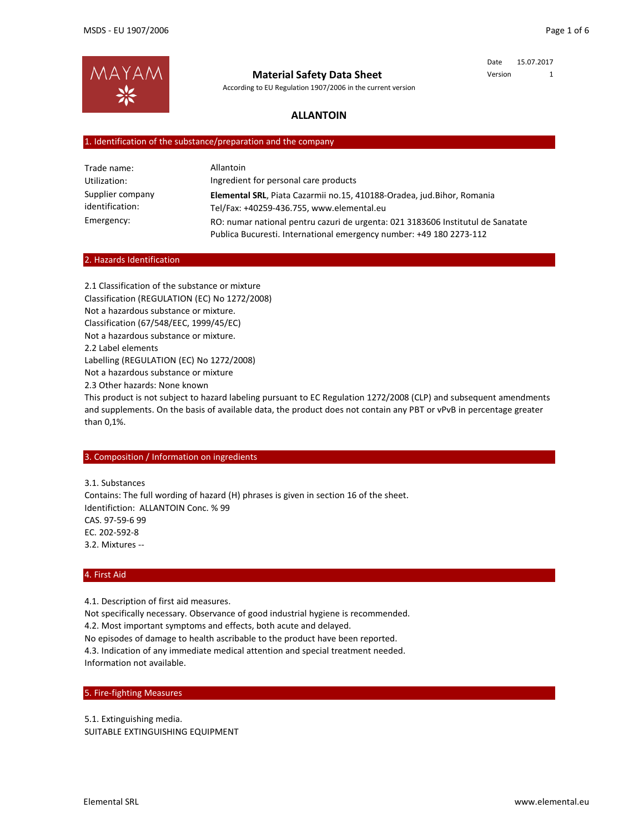Date 15.07.2017 Version 1



**Material Safety Data Sheet**

According to EU Regulation 1907/2006 in the current version

# **ALLANTOIN**

### 1. Identification of the substance/preparation and the company

| Trade name:                         | Allantoin                                                                                                                                              |
|-------------------------------------|--------------------------------------------------------------------------------------------------------------------------------------------------------|
| Utilization:                        | Ingredient for personal care products                                                                                                                  |
| Supplier company<br>identification: | Elemental SRL, Piata Cazarmii no.15, 410188-Oradea, jud.Bihor, Romania<br>Tel/Fax: +40259-436.755, www.elemental.eu                                    |
| Emergency:                          | RO: numar national pentru cazuri de urgenta: 021 3183606 Institutul de Sanatate<br>Publica Bucuresti. International emergency number: +49 180 2273-112 |

#### 2. Hazards Identification

2.1 Classification of the substance or mixture Classification (REGULATION (EC) No 1272/2008) Not a hazardous substance or mixture. Classification (67/548/EEC, 1999/45/EC) Not a hazardous substance or mixture. 2.2 Label elements Labelling (REGULATION (EC) No 1272/2008) Not a hazardous substance or mixture 2.3 Other hazards: None known This product is not subject to hazard labeling pursuant to EC Regulation 1272/2008 (CLP) and subsequent amendments and supplements. On the basis of available data, the product does not contain any PBT or vPvB in percentage greater

# 3. Composition / Information on ingredients

3.1. Substances Contains: The full wording of hazard (H) phrases is given in section 16 of the sheet. Identifiction: ALLANTOIN Conc. % 99 CAS. 97‐59‐6 99 EC. 202‐592‐8 3.2. Mixtures ‐‐

### 4. First Aid

than 0,1%.

4.1. Description of first aid measures.

Not specifically necessary. Observance of good industrial hygiene is recommended. 4.2. Most important symptoms and effects, both acute and delayed.

No episodes of damage to health ascribable to the product have been reported.

4.3. Indication of any immediate medical attention and special treatment needed. Information not available.

### 5. Fire‐fighting Measures

5.1. Extinguishing media. SUITABLE EXTINGUISHING EQUIPMENT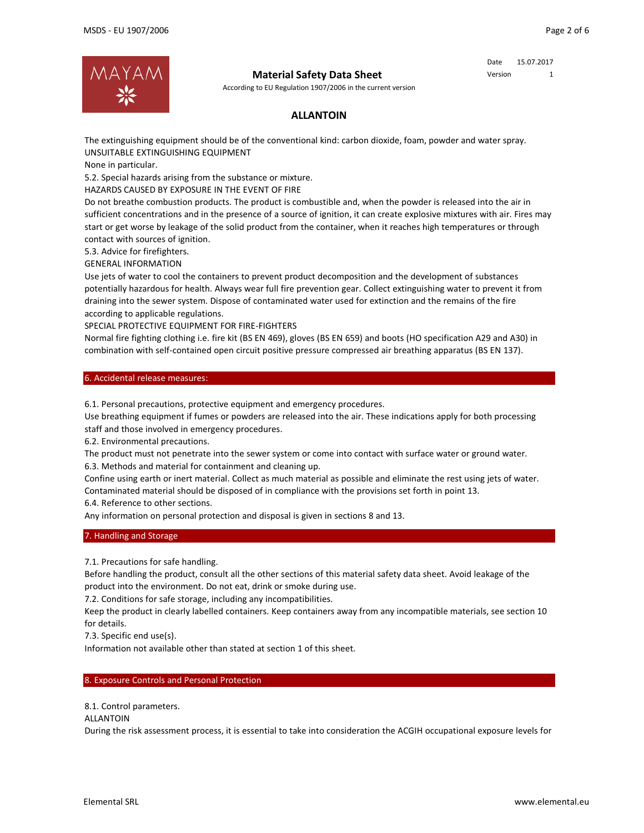

According to EU Regulation 1907/2006 in the current version

### Date 15.07.2017 Version 1

# **ALLANTOIN**

The extinguishing equipment should be of the conventional kind: carbon dioxide, foam, powder and water spray. UNSUITABLE EXTINGUISHING EQUIPMENT

None in particular.

5.2. Special hazards arising from the substance or mixture.

HAZARDS CAUSED BY EXPOSURE IN THE EVENT OF FIRE

Do not breathe combustion products. The product is combustible and, when the powder is released into the air in sufficient concentrations and in the presence of a source of ignition, it can create explosive mixtures with air. Fires may start or get worse by leakage of the solid product from the container, when it reaches high temperatures or through contact with sources of ignition.

5.3. Advice for firefighters.

GENERAL INFORMATION

Use jets of water to cool the containers to prevent product decomposition and the development of substances potentially hazardous for health. Always wear full fire prevention gear. Collect extinguishing water to prevent it from draining into the sewer system. Dispose of contaminated water used for extinction and the remains of the fire according to applicable regulations.

SPECIAL PROTECTIVE EQUIPMENT FOR FIRE‐FIGHTERS

Normal fire fighting clothing i.e. fire kit (BS EN 469), gloves (BS EN 659) and boots (HO specification A29 and A30) in combination with self‐contained open circuit positive pressure compressed air breathing apparatus (BS EN 137).

6. Accidental release measures:

6.1. Personal precautions, protective equipment and emergency procedures.

Use breathing equipment if fumes or powders are released into the air. These indications apply for both processing staff and those involved in emergency procedures.

6.2. Environmental precautions.

The product must not penetrate into the sewer system or come into contact with surface water or ground water. 6.3. Methods and material for containment and cleaning up.

Confine using earth or inert material. Collect as much material as possible and eliminate the rest using jets of water. Contaminated material should be disposed of in compliance with the provisions set forth in point 13.

6.4. Reference to other sections.

Any information on personal protection and disposal is given in sections 8 and 13.

### 7. Handling and Storage

7.1. Precautions for safe handling.

Before handling the product, consult all the other sections of this material safety data sheet. Avoid leakage of the product into the environment. Do not eat, drink or smoke during use.

7.2. Conditions for safe storage, including any incompatibilities.

Keep the product in clearly labelled containers. Keep containers away from any incompatible materials, see section 10 for details.

7.3. Specific end use(s).

Information not available other than stated at section 1 of this sheet.

### 8. Exposure Controls and Personal Protection

8.1. Control parameters.

### ALLANTOIN

During the risk assessment process, it is essential to take into consideration the ACGIH occupational exposure levels for

/ /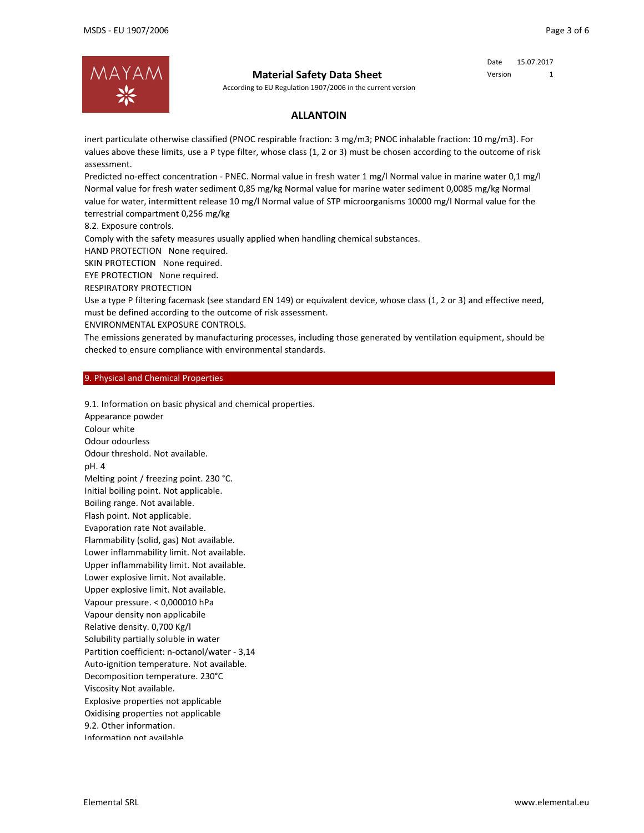

According to EU Regulation 1907/2006 in the current version

# Version 1

Date 15.07.2017

# **ALLANTOIN**

inert particulate otherwise classified (PNOC respirable fraction: 3 mg/m3; PNOC inhalable fraction: 10 mg/m3). For values above these limits, use a P type filter, whose class (1, 2 or 3) must be chosen according to the outcome of risk assessment.

Predicted no‐effect concentration ‐ PNEC. Normal value in fresh water 1 mg/l Normal value in marine water 0,1 mg/l Normal value for fresh water sediment 0,85 mg/kg Normal value for marine water sediment 0,0085 mg/kg Normal value for water, intermittent release 10 mg/l Normal value of STP microorganisms 10000 mg/l Normal value for the terrestrial compartment 0,256 mg/kg

8.2. Exposure controls.

Comply with the safety measures usually applied when handling chemical substances.

HAND PROTECTION None required.

SKIN PROTECTION None required.

EYE PROTECTION None required.

RESPIRATORY PROTECTION

Use a type P filtering facemask (see standard EN 149) or equivalent device, whose class (1, 2 or 3) and effective need, must be defined according to the outcome of risk assessment.

ENVIRONMENTAL EXPOSURE CONTROLS.

The emissions generated by manufacturing processes, including those generated by ventilation equipment, should be checked to ensure compliance with environmental standards.

### 9. Physical and Chemical Properties

9.1. Information on basic physical and chemical properties. Appearance powder Colour white Odour odourless Odour threshold. Not available. pH. 4 Melting point / freezing point. 230 °C. Initial boiling point. Not applicable. Boiling range. Not available. Flash point. Not applicable. Evaporation rate Not available. Flammability (solid, gas) Not available. Lower inflammability limit. Not available. Upper inflammability limit. Not available. Lower explosive limit. Not available. Upper explosive limit. Not available. Vapour pressure. < 0,000010 hPa Vapour density non applicabile Relative density. 0,700 Kg/l Solubility partially soluble in water Partition coefficient: n‐octanol/water ‐ 3,14 Auto-ignition temperature. Not available. Decomposition temperature. 230°C Viscosity Not available. Explosive properties not applicable Oxidising properties not applicable 9.2. Other information. Information not available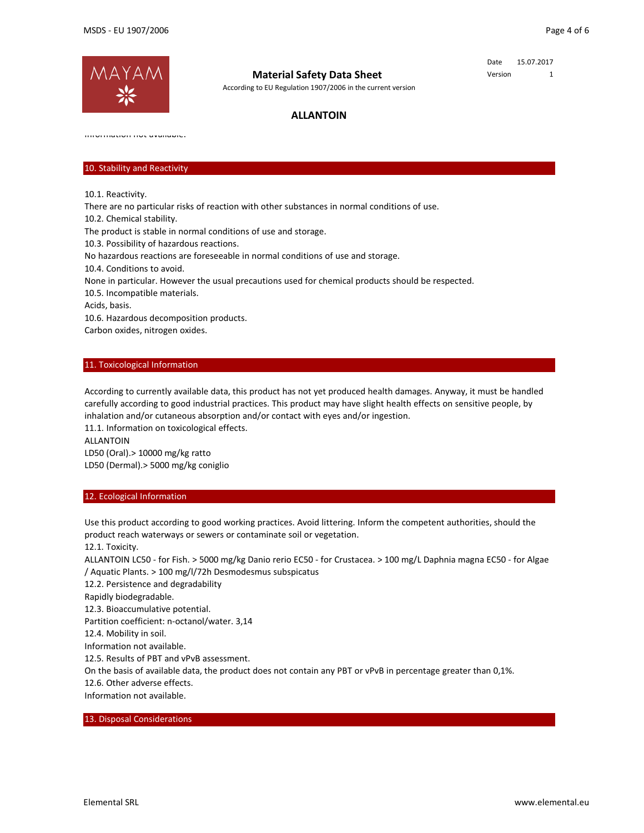

According to EU Regulation 1907/2006 in the current version

Date 15.07.2017 Version 1

# **ALLANTOIN**

Information not available.

# 10. Stability and Reactivity

10.1. Reactivity.

There are no particular risks of reaction with other substances in normal conditions of use.

10.2. Chemical stability.

The product is stable in normal conditions of use and storage.

10.3. Possibility of hazardous reactions.

No hazardous reactions are foreseeable in normal conditions of use and storage.

10.4. Conditions to avoid.

None in particular. However the usual precautions used for chemical products should be respected.

10.5. Incompatible materials.

Acids, basis.

10.6. Hazardous decomposition products.

Carbon oxides, nitrogen oxides.

### 11. Toxicological Information

According to currently available data, this product has not yet produced health damages. Anyway, it must be handled carefully according to good industrial practices. This product may have slight health effects on sensitive people, by inhalation and/or cutaneous absorption and/or contact with eyes and/or ingestion.

11.1. Information on toxicological effects. ALLANTOIN LD50 (Oral).> 10000 mg/kg ratto LD50 (Dermal).> 5000 mg/kg coniglio

#### 12. Ecological Information

Use this product according to good working practices. Avoid littering. Inform the competent authorities, should the product reach waterways or sewers or contaminate soil or vegetation.

12.1. Toxicity.

ALLANTOIN LC50 ‐ for Fish. > 5000 mg/kg Danio rerio EC50 ‐ for Crustacea. > 100 mg/L Daphnia magna EC50 ‐ for Algae / Aquatic Plants. > 100 mg/l/72h Desmodesmus subspicatus

12.2. Persistence and degradability

Rapidly biodegradable.

12.3. Bioaccumulative potential.

Partition coefficient: n‐octanol/water. 3,14

12.4. Mobility in soil.

Information not available.

12.5. Results of PBT and vPvB assessment.

On the basis of available data, the product does not contain any PBT or vPvB in percentage greater than 0,1%.

12.6. Other adverse effects.

Information not available.

#### 13. Disposal Considerations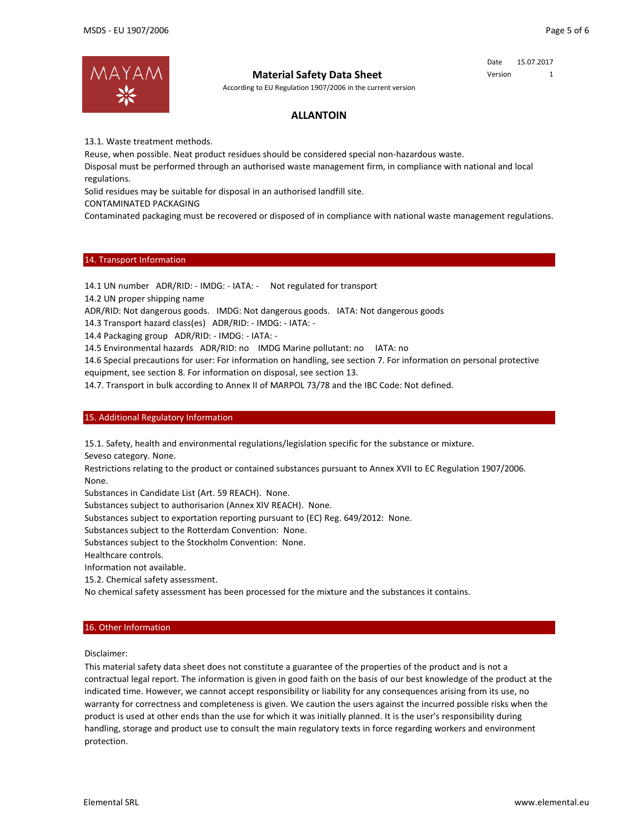Date 15.07.2017 Version 1



### **Material Safety Data Sheet**

According to EU Regulation 1907/2006 in the current version

# **ALLANTOIN**

13.1. Waste treatment methods.

Reuse, when possible. Neat product residues should be considered special non‐hazardous waste.

Disposal must be performed through an authorised waste management firm, in compliance with national and local regulations.

Solid residues may be suitable for disposal in an authorised landfill site.

CONTAMINATED PACKAGING

Contaminated packaging must be recovered or disposed of in compliance with national waste management regulations.

#### 14. Transport Information

14.1 UN number ADR/RID: ‐ IMDG: ‐ IATA: ‐ Not regulated for transport

14.2 UN proper shipping name

ADR/RID: Not dangerous goods. IMDG: Not dangerous goods. IATA: Not dangerous goods

14.3 Transport hazard class(es) ADR/RID: ‐ IMDG: ‐ IATA: ‐

14.4 Packaging group ADR/RID: ‐ IMDG: ‐ IATA: ‐

14.5 Environmental hazards ADR/RID: no IMDG Marine pollutant: no IATA: no

14.6 Special precautions for user: For information on handling, see section 7. For information on personal protective

equipment, see section 8. For information on disposal, see section 13.

14.7. Transport in bulk according to Annex II of MARPOL 73/78 and the IBC Code: Not defined.

#### 15. Additional Regulatory Information

15.1. Safety, health and environmental regulations/legislation specific for the substance or mixture.

Seveso category. None.

Restrictions relating to the product or contained substances pursuant to Annex XVII to EC Regulation 1907/2006. None.

Substances in Candidate List (Art. 59 REACH). None.

Substances subject to authorisarion (Annex XIV REACH). None.

Substances subject to exportation reporting pursuant to (EC) Reg. 649/2012: None.

Substances subject to the Rotterdam Convention: None.

Substances subject to the Stockholm Convention: None.

Healthcare controls.

Information not available.

15.2. Chemical safety assessment.

No chemical safety assessment has been processed for the mixture and the substances it contains.

#### 16. Other Information

Disclaimer:

This material safety data sheet does not constitute a guarantee of the properties of the product and is not a contractual legal report. The information is given in good faith on the basis of our best knowledge of the product at the indicated time. However, we cannot accept responsibility or liability for any consequences arising from its use, no warranty for correctness and completeness is given. We caution the users against the incurred possible risks when the product is used at other ends than the use for which it was initially planned. It is the user's responsibility during handling, storage and product use to consult the main regulatory texts in force regarding workers and environment protection.